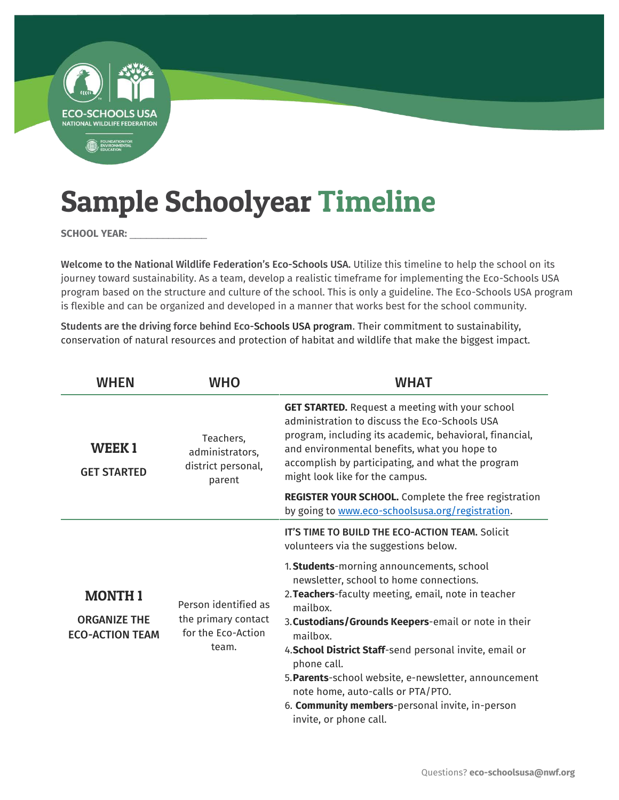

SCHOOL YEAR: \_\_\_

Welcome to the National Wildlife Federation's Eco-Schools USA. Utilize this timeline to help the school on its journey toward sustainability. As a team, develop a realistic timeframe for implementing the Eco-Schools USA program based on the structure and culture of the school. This is only a guideline. The Eco-Schools USA program is flexible and can be organized and developed in a manner that works best for the school community.

Students are the driving force behind Eco-Schools USA program. Their commitment to sustainability, conservation of natural resources and protection of habitat and wildlife that make the biggest impact.

| <b>WHEN</b>                                                    | <b>WHO</b>                                                                 | <b>WHAT</b>                                                                                                                                                                                                                                                                                                                                                                                                                                                                      |
|----------------------------------------------------------------|----------------------------------------------------------------------------|----------------------------------------------------------------------------------------------------------------------------------------------------------------------------------------------------------------------------------------------------------------------------------------------------------------------------------------------------------------------------------------------------------------------------------------------------------------------------------|
| <b>WEEK1</b><br><b>GET STARTED</b>                             | Teachers,<br>administrators,<br>district personal,<br>parent               | <b>GET STARTED.</b> Request a meeting with your school<br>administration to discuss the Eco-Schools USA<br>program, including its academic, behavioral, financial,<br>and environmental benefits, what you hope to<br>accomplish by participating, and what the program<br>might look like for the campus.                                                                                                                                                                       |
|                                                                |                                                                            | REGISTER YOUR SCHOOL. Complete the free registration<br>by going to www.eco-schoolsusa.org/registration.                                                                                                                                                                                                                                                                                                                                                                         |
|                                                                |                                                                            | IT'S TIME TO BUILD THE ECO-ACTION TEAM. Solicit<br>volunteers via the suggestions below.                                                                                                                                                                                                                                                                                                                                                                                         |
| <b>MONTH1</b><br><b>ORGANIZE THE</b><br><b>ECO-ACTION TEAM</b> | Person identified as<br>the primary contact<br>for the Eco-Action<br>team. | 1. Students-morning announcements, school<br>newsletter, school to home connections.<br>2. Teachers-faculty meeting, email, note in teacher<br>mailbox.<br>3. Custodians/Grounds Keepers-email or note in their<br>mailbox.<br>4. School District Staff-send personal invite, email or<br>phone call.<br>5. Parents-school website, e-newsletter, announcement<br>note home, auto-calls or PTA/PTO.<br>6. Community members-personal invite, in-person<br>invite, or phone call. |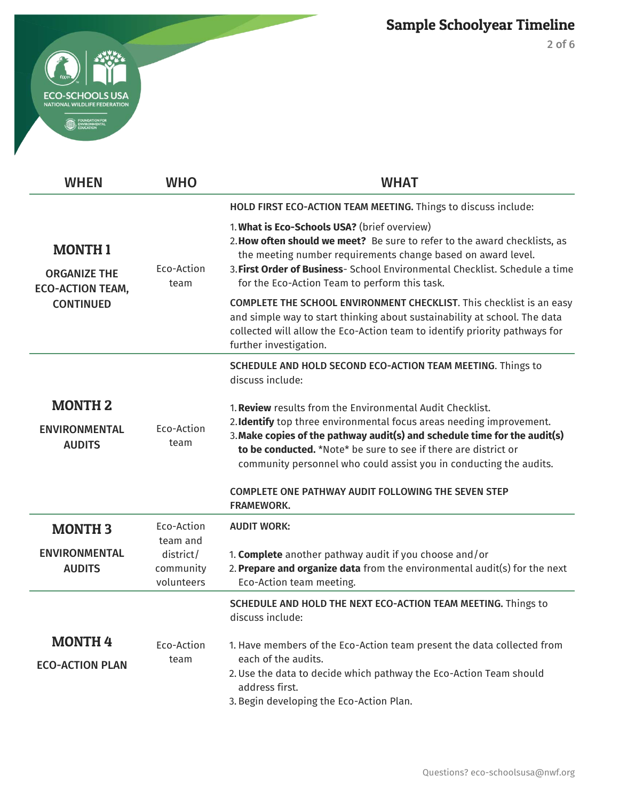



| <b>WHEN</b>                                                                         | <b>WHO</b>                           | <b>WHAT</b>                                                                                                                                                                                                                                                                                                                                                                                                                                                                                                                                                                                                                                                                                             |
|-------------------------------------------------------------------------------------|--------------------------------------|---------------------------------------------------------------------------------------------------------------------------------------------------------------------------------------------------------------------------------------------------------------------------------------------------------------------------------------------------------------------------------------------------------------------------------------------------------------------------------------------------------------------------------------------------------------------------------------------------------------------------------------------------------------------------------------------------------|
|                                                                                     |                                      | HOLD FIRST ECO-ACTION TEAM MEETING. Things to discuss include:                                                                                                                                                                                                                                                                                                                                                                                                                                                                                                                                                                                                                                          |
| <b>MONTH1</b><br><b>ORGANIZE THE</b><br><b>ECO-ACTION TEAM,</b><br><b>CONTINUED</b> | Eco-Action<br>team                   | 1. What is Eco-Schools USA? (brief overview)<br>2. How often should we meet? Be sure to refer to the award checklists, as<br>the meeting number requirements change based on award level.<br>3. First Order of Business- School Environmental Checklist. Schedule a time<br>for the Eco-Action Team to perform this task.                                                                                                                                                                                                                                                                                                                                                                               |
|                                                                                     |                                      | COMPLETE THE SCHOOL ENVIRONMENT CHECKLIST. This checklist is an easy<br>and simple way to start thinking about sustainability at school. The data<br>collected will allow the Eco-Action team to identify priority pathways for<br>further investigation.<br>SCHEDULE AND HOLD SECOND ECO-ACTION TEAM MEETING. Things to<br>discuss include:<br>1. Review results from the Environmental Audit Checklist.<br>2. Identify top three environmental focus areas needing improvement.<br>3. Make copies of the pathway audit(s) and schedule time for the audit(s)<br>to be conducted. *Note* be sure to see if there are district or<br>community personnel who could assist you in conducting the audits. |
|                                                                                     |                                      |                                                                                                                                                                                                                                                                                                                                                                                                                                                                                                                                                                                                                                                                                                         |
| <b>MONTH 2</b><br><b>ENVIRONMENTAL</b><br><b>AUDITS</b>                             | Eco-Action<br>team                   |                                                                                                                                                                                                                                                                                                                                                                                                                                                                                                                                                                                                                                                                                                         |
|                                                                                     |                                      | <b>COMPLETE ONE PATHWAY AUDIT FOLLOWING THE SEVEN STEP</b><br><b>FRAMEWORK.</b>                                                                                                                                                                                                                                                                                                                                                                                                                                                                                                                                                                                                                         |
| <b>MONTH 3</b>                                                                      | Eco-Action<br>team and               | <b>AUDIT WORK:</b>                                                                                                                                                                                                                                                                                                                                                                                                                                                                                                                                                                                                                                                                                      |
| <b>ENVIRONMENTAL</b><br><b>AUDITS</b>                                               | district/<br>community<br>volunteers | 1. Complete another pathway audit if you choose and/or<br>2. Prepare and organize data from the environmental audit(s) for the next<br>Eco-Action team meeting.                                                                                                                                                                                                                                                                                                                                                                                                                                                                                                                                         |
|                                                                                     |                                      | SCHEDULE AND HOLD THE NEXT ECO-ACTION TEAM MEETING. Things to<br>discuss include:                                                                                                                                                                                                                                                                                                                                                                                                                                                                                                                                                                                                                       |
| <b>MONTH4</b><br><b>ECO-ACTION PLAN</b>                                             | Eco-Action<br>team                   | 1. Have members of the Eco-Action team present the data collected from<br>each of the audits.<br>2. Use the data to decide which pathway the Eco-Action Team should<br>address first.<br>3. Begin developing the Eco-Action Plan.                                                                                                                                                                                                                                                                                                                                                                                                                                                                       |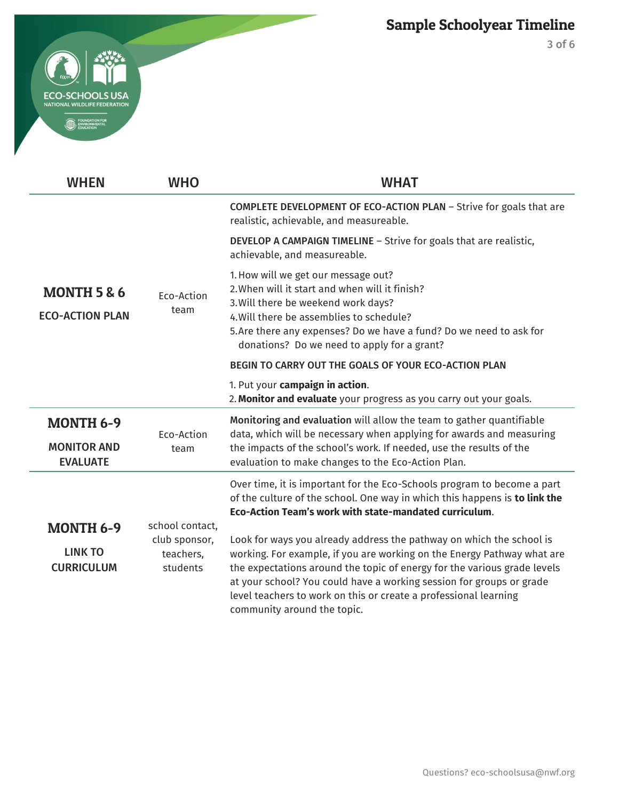



| <b>WHEN</b>                                      | <b>WHO</b>                             | <b>WHAT</b>                                                                                                                                                                                                                                                                                                                                                                                            |
|--------------------------------------------------|----------------------------------------|--------------------------------------------------------------------------------------------------------------------------------------------------------------------------------------------------------------------------------------------------------------------------------------------------------------------------------------------------------------------------------------------------------|
|                                                  |                                        | COMPLETE DEVELOPMENT OF ECO-ACTION PLAN - Strive for goals that are<br>realistic, achievable, and measureable.                                                                                                                                                                                                                                                                                         |
|                                                  |                                        | <b>DEVELOP A CAMPAIGN TIMELINE - Strive for goals that are realistic,</b><br>achievable, and measureable.                                                                                                                                                                                                                                                                                              |
| <b>MONTH 5 &amp; 6</b><br><b>ECO-ACTION PLAN</b> | Eco-Action<br>team                     | 1. How will we get our message out?<br>2. When will it start and when will it finish?<br>3. Will there be weekend work days?<br>4. Will there be assemblies to schedule?<br>5. Are there any expenses? Do we have a fund? Do we need to ask for<br>donations? Do we need to apply for a grant?                                                                                                         |
|                                                  |                                        | BEGIN TO CARRY OUT THE GOALS OF YOUR ECO-ACTION PLAN                                                                                                                                                                                                                                                                                                                                                   |
|                                                  |                                        | 1. Put your campaign in action.<br>2. Monitor and evaluate your progress as you carry out your goals.                                                                                                                                                                                                                                                                                                  |
| <b>MONTH 6-9</b>                                 | Eco-Action                             | Monitoring and evaluation will allow the team to gather quantifiable<br>data, which will be necessary when applying for awards and measuring                                                                                                                                                                                                                                                           |
| <b>MONITOR AND</b><br><b>EVALUATE</b>            | team                                   | the impacts of the school's work. If needed, use the results of the<br>evaluation to make changes to the Eco-Action Plan.                                                                                                                                                                                                                                                                              |
|                                                  |                                        | Over time, it is important for the Eco-Schools program to become a part<br>of the culture of the school. One way in which this happens is to link the<br>Eco-Action Team's work with state-mandated curriculum.                                                                                                                                                                                        |
| <b>MONTH 6-9</b>                                 | school contact,                        |                                                                                                                                                                                                                                                                                                                                                                                                        |
| <b>LINK TO</b><br><b>CURRICULUM</b>              | club sponsor,<br>teachers,<br>students | Look for ways you already address the pathway on which the school is<br>working. For example, if you are working on the Energy Pathway what are<br>the expectations around the topic of energy for the various grade levels<br>at your school? You could have a working session for groups or grade<br>level teachers to work on this or create a professional learning<br>community around the topic. |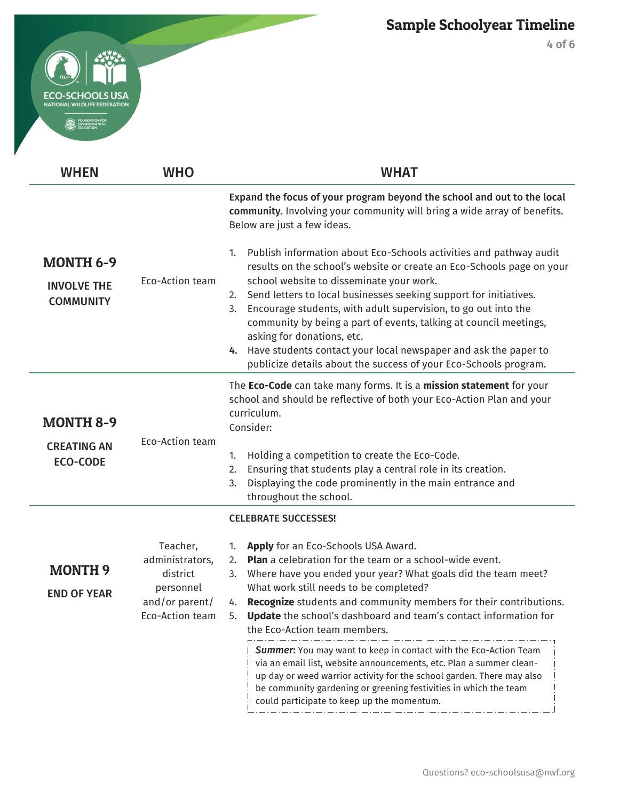

4 of 6

| <b>WHEN</b>                                                | <b>WHO</b>                                                                                | <b>WHAT</b>                                                                                                                                                                                                                                                                                                                                                                                                                                                                                                                                                                                      |
|------------------------------------------------------------|-------------------------------------------------------------------------------------------|--------------------------------------------------------------------------------------------------------------------------------------------------------------------------------------------------------------------------------------------------------------------------------------------------------------------------------------------------------------------------------------------------------------------------------------------------------------------------------------------------------------------------------------------------------------------------------------------------|
|                                                            |                                                                                           | Expand the focus of your program beyond the school and out to the local<br>community. Involving your community will bring a wide array of benefits.<br>Below are just a few ideas.                                                                                                                                                                                                                                                                                                                                                                                                               |
| <b>MONTH 6-9</b><br><b>INVOLVE THE</b><br><b>COMMUNITY</b> | Eco-Action team                                                                           | Publish information about Eco-Schools activities and pathway audit<br>1.<br>results on the school's website or create an Eco-Schools page on your<br>school website to disseminate your work.<br>Send letters to local businesses seeking support for initiatives.<br>2.<br>Encourage students, with adult supervision, to go out into the<br>3.<br>community by being a part of events, talking at council meetings,<br>asking for donations, etc.<br>Have students contact your local newspaper and ask the paper to<br>4.<br>publicize details about the success of your Eco-Schools program. |
| <b>MONTH 8-9</b>                                           |                                                                                           | The Eco-Code can take many forms. It is a mission statement for your<br>school and should be reflective of both your Eco-Action Plan and your<br>curriculum.<br>Consider:                                                                                                                                                                                                                                                                                                                                                                                                                        |
| <b>CREATING AN</b><br><b>ECO-CODE</b>                      | Eco-Action team                                                                           | Holding a competition to create the Eco-Code.<br>1.<br>Ensuring that students play a central role in its creation.<br>2.<br>Displaying the code prominently in the main entrance and<br>3.<br>throughout the school.                                                                                                                                                                                                                                                                                                                                                                             |
|                                                            |                                                                                           | <b>CELEBRATE SUCCESSES!</b>                                                                                                                                                                                                                                                                                                                                                                                                                                                                                                                                                                      |
| <b>MONTH 9</b><br><b>END OF YEAR</b>                       | Teacher,<br>administrators,<br>district<br>personnel<br>and/or parent/<br>Eco-Action team | Apply for an Eco-Schools USA Award.<br>1.<br><b>Plan</b> a celebration for the team or a school-wide event.<br>2.<br>Where have you ended your year? What goals did the team meet?<br>3.<br>What work still needs to be completed?<br>4. Recognize students and community members for their contributions.<br><b>Update</b> the school's dashboard and team's contact information for<br>5.<br>the Eco-Action team members.                                                                                                                                                                      |
|                                                            |                                                                                           | Summer: You may want to keep in contact with the Eco-Action Team<br>via an email list, website announcements, etc. Plan a summer clean-<br>up day or weed warrior activity for the school garden. There may also<br>be community gardening or greening festivities in which the team<br>could participate to keep up the momentum.                                                                                                                                                                                                                                                               |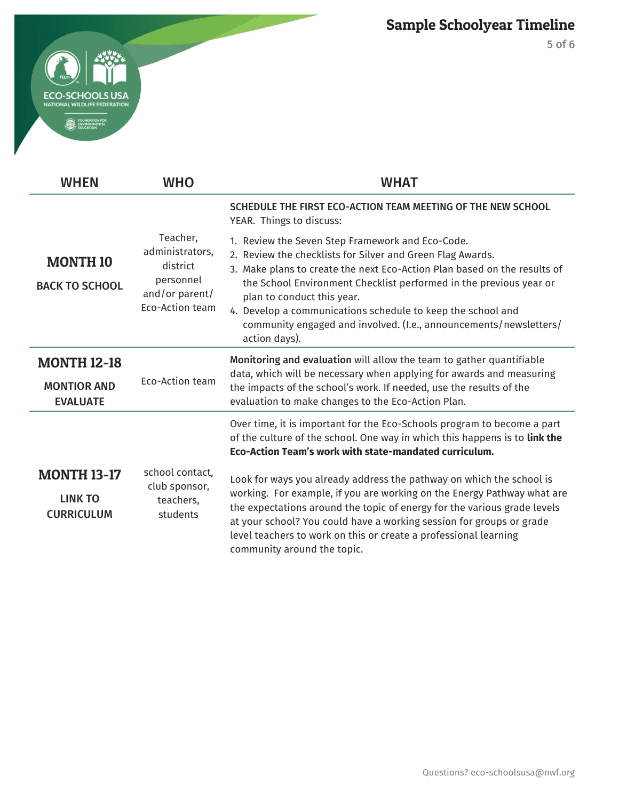

| $\overline{a}$ |                                                                                                                                    |
|----------------|------------------------------------------------------------------------------------------------------------------------------------|
|                | <b>ECO-SCHOOLS USA</b><br><b>NATIONAL WILDLIFE FEDERATION</b><br><b>FOUNDATION FOR</b><br><b>ENVIRONMENTAL</b><br><b>EDUCATION</b> |

| <b>WHEN</b>                                                 | <b>WHO</b>                                                                                | <b>WHAT</b>                                                                                                                                                                                                                                                                                                                                                                                                                                         |
|-------------------------------------------------------------|-------------------------------------------------------------------------------------------|-----------------------------------------------------------------------------------------------------------------------------------------------------------------------------------------------------------------------------------------------------------------------------------------------------------------------------------------------------------------------------------------------------------------------------------------------------|
|                                                             |                                                                                           | SCHEDULE THE FIRST ECO-ACTION TEAM MEETING OF THE NEW SCHOOL<br>YEAR. Things to discuss:                                                                                                                                                                                                                                                                                                                                                            |
| <b>MONTH 10</b><br><b>BACK TO SCHOOL</b>                    | Teacher,<br>administrators,<br>district<br>personnel<br>and/or parent/<br>Eco-Action team | 1. Review the Seven Step Framework and Eco-Code.<br>2. Review the checklists for Silver and Green Flag Awards.<br>3. Make plans to create the next Eco-Action Plan based on the results of<br>the School Environment Checklist performed in the previous year or<br>plan to conduct this year.<br>4. Develop a communications schedule to keep the school and<br>community engaged and involved. (I.e., announcements/newsletters/<br>action days). |
| <b>MONTH 12-18</b><br><b>MONTIOR AND</b><br><b>EVALUATE</b> | Eco-Action team                                                                           | Monitoring and evaluation will allow the team to gather quantifiable<br>data, which will be necessary when applying for awards and measuring<br>the impacts of the school's work. If needed, use the results of the<br>evaluation to make changes to the Eco-Action Plan.                                                                                                                                                                           |
|                                                             |                                                                                           | Over time, it is important for the Eco-Schools program to become a part<br>of the culture of the school. One way in which this happens is to link the<br>Eco-Action Team's work with state-mandated curriculum.                                                                                                                                                                                                                                     |
| <b>MONTH 13-17</b><br><b>LINK TO</b><br><b>CURRICULUM</b>   | school contact,<br>club sponsor,<br>teachers,<br>students                                 | Look for ways you already address the pathway on which the school is<br>working. For example, if you are working on the Energy Pathway what are<br>the expectations around the topic of energy for the various grade levels<br>at your school? You could have a working session for groups or grade<br>level teachers to work on this or create a professional learning<br>community around the topic.                                              |